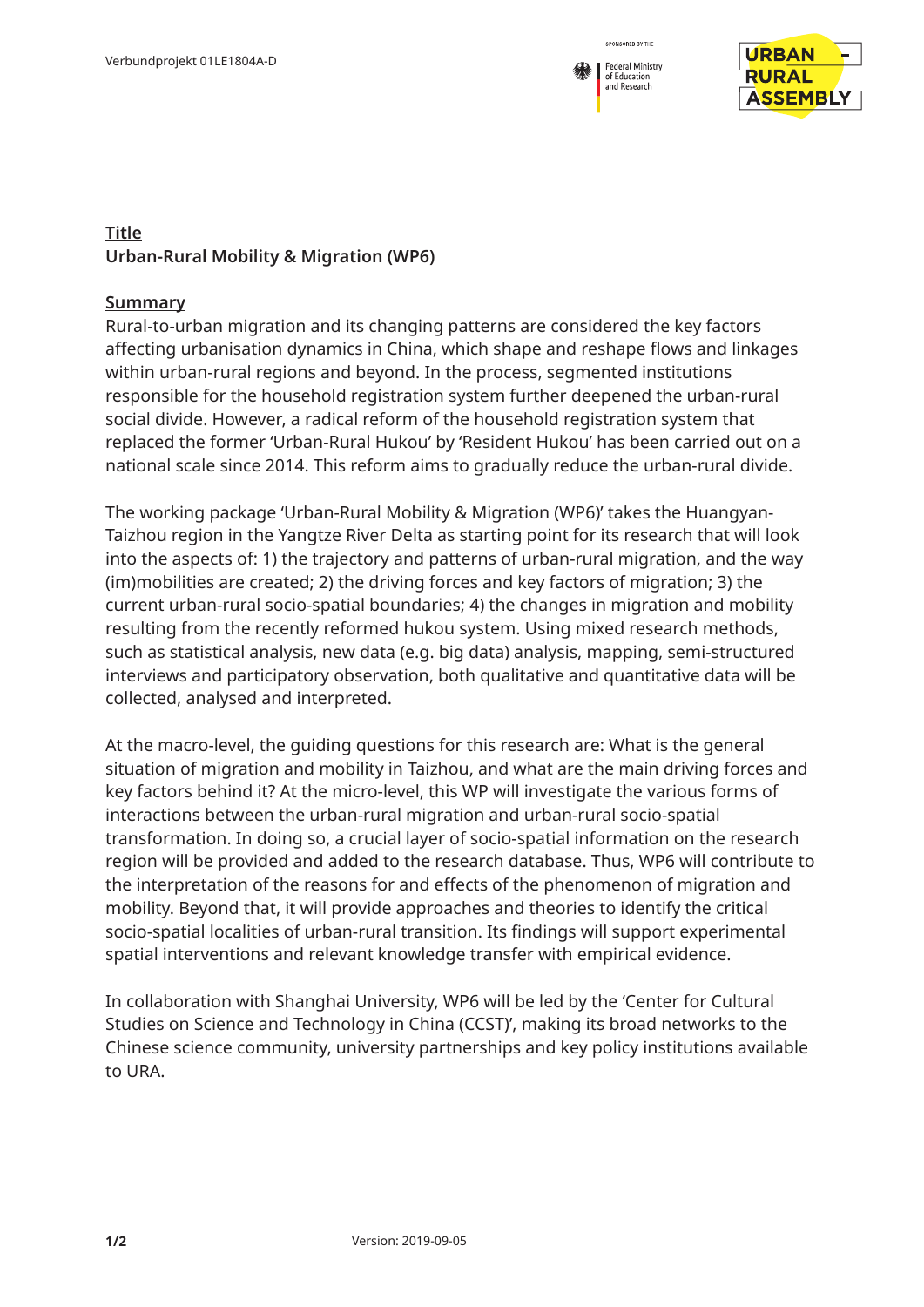



## **Title Urban-Rural Mobility & Migration (WP6)**

## **Summary**

Rural-to-urban migration and its changing patterns are considered the key factors affecting urbanisation dynamics in China, which shape and reshape flows and linkages within urban-rural regions and beyond. In the process, segmented institutions responsible for the household registration system further deepened the urban-rural social divide. However, a radical reform of the household registration system that replaced the former 'Urban-Rural Hukou' by 'Resident Hukou' has been carried out on a national scale since 2014. This reform aims to gradually reduce the urban-rural divide.

The working package 'Urban-Rural Mobility & Migration (WP6)' takes the Huangyan-Taizhou region in the Yangtze River Delta as starting point for its research that will look into the aspects of: 1) the trajectory and patterns of urban-rural migration, and the way (im)mobilities are created; 2) the driving forces and key factors of migration; 3) the current urban-rural socio-spatial boundaries; 4) the changes in migration and mobility resulting from the recently reformed hukou system. Using mixed research methods, such as statistical analysis, new data (e.g. big data) analysis, mapping, semi-structured interviews and participatory observation, both qualitative and quantitative data will be collected, analysed and interpreted.

At the macro-level, the guiding questions for this research are: What is the general situation of migration and mobility in Taizhou, and what are the main driving forces and key factors behind it? At the micro-level, this WP will investigate the various forms of interactions between the urban-rural migration and urban-rural socio-spatial transformation. In doing so, a crucial layer of socio-spatial information on the research region will be provided and added to the research database. Thus, WP6 will contribute to the interpretation of the reasons for and effects of the phenomenon of migration and mobility. Beyond that, it will provide approaches and theories to identify the critical socio-spatial localities of urban-rural transition. Its findings will support experimental spatial interventions and relevant knowledge transfer with empirical evidence.

In collaboration with Shanghai University, WP6 will be led by the 'Center for Cultural Studies on Science and Technology in China (CCST)', making its broad networks to the Chinese science community, university partnerships and key policy institutions available to URA.